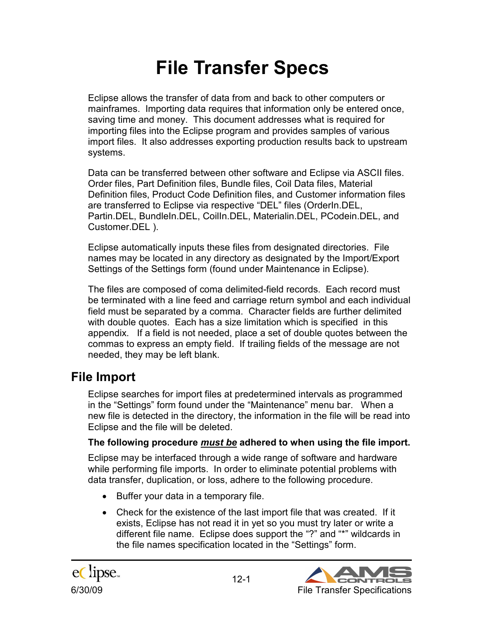# **File Transfer Specs**

Eclipse allows the transfer of data from and back to other computers or mainframes. Importing data requires that information only be entered once, saving time and money. This document addresses what is required for importing files into the Eclipse program and provides samples of various import files. It also addresses exporting production results back to upstream systems.

Data can be transferred between other software and Eclipse via ASCII files. Order files, Part Definition files, Bundle files, Coil Data files, Material Definition files, Product Code Definition files, and Customer information files are transferred to Eclipse via respective "DEL" files (OrderIn.DEL, Partin.DEL, BundleIn.DEL, CoilIn.DEL, Materialin.DEL, PCodein.DEL, and Customer.DEL ).

Eclipse automatically inputs these files from designated directories. File names may be located in any directory as designated by the Import/Export Settings of the Settings form (found under Maintenance in Eclipse).

The files are composed of coma delimited-field records. Each record must be terminated with a line feed and carriage return symbol and each individual field must be separated by a comma. Character fields are further delimited with double quotes. Each has a size limitation which is specified in this appendix. If a field is not needed, place a set of double quotes between the commas to express an empty field. If trailing fields of the message are not needed, they may be left blank.

# **File Import**

Eclipse searches for import files at predetermined intervals as programmed in the "Settings" form found under the "Maintenance" menu bar. When a new file is detected in the directory, the information in the file will be read into Eclipse and the file will be deleted.

#### **The following procedure** *must be* **adhered to when using the file import.**

Eclipse may be interfaced through a wide range of software and hardware while performing file imports. In order to eliminate potential problems with data transfer, duplication, or loss, adhere to the following procedure.

- Buffer your data in a temporary file.
- Check for the existence of the last import file that was created. If it exists, Eclipse has not read it in yet so you must try later or write a different file name. Eclipse does support the "?" and "\*" wildcards in the file names specification located in the "Settings" form.

eClipse.

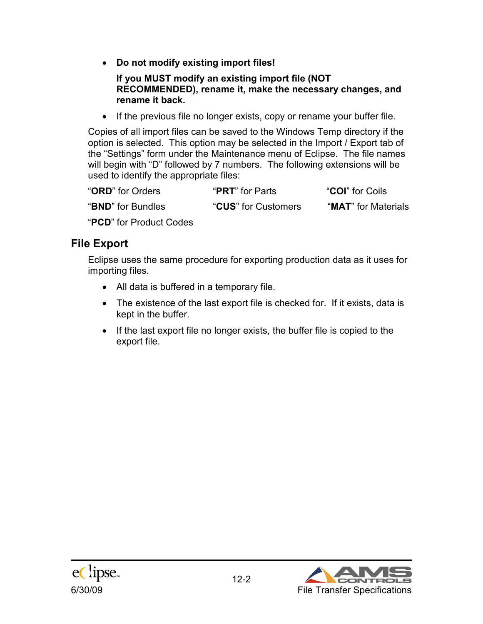• **Do not modify existing import files!** 

**If you MUST modify an existing import file (NOT RECOMMENDED), rename it, make the necessary changes, and rename it back.** 

• If the previous file no longer exists, copy or rename your buffer file.

Copies of all import files can be saved to the Windows Temp directory if the option is selected. This option may be selected in the Import / Export tab of the "Settings" form under the Maintenance menu of Eclipse. The file names will begin with "D" followed by 7 numbers. The following extensions will be used to identify the appropriate files:

| "ORD" for Orders           | " <b>PRT</b> " for Parts | <b>"COI"</b> for Coils       |
|----------------------------|--------------------------|------------------------------|
| " <b>BND</b> " for Bundles | "CUS" for Customers      | " <b>MAT</b> " for Materials |

"**PCD**" for Product Codes

### **File Export**

Eclipse uses the same procedure for exporting production data as it uses for importing files.

- All data is buffered in a temporary file.
- The existence of the last export file is checked for. If it exists, data is kept in the buffer.
- If the last export file no longer exists, the buffer file is copied to the export file.



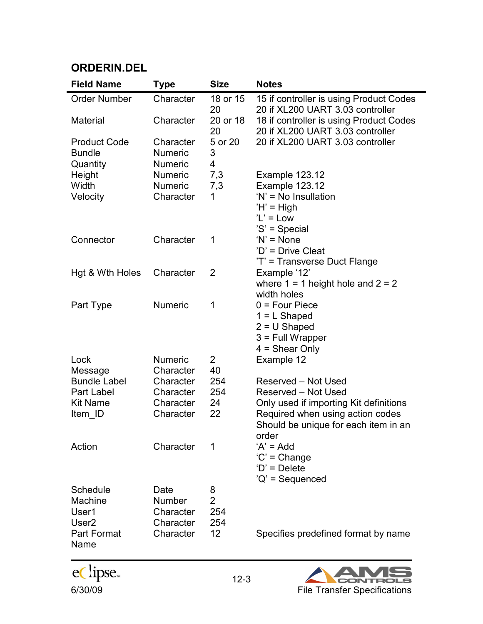| <b>Field Name</b>   | Type           | <b>Size</b>    | <b>Notes</b>                            |
|---------------------|----------------|----------------|-----------------------------------------|
| <b>Order Number</b> | Character      | 18 or 15       | 15 if controller is using Product Codes |
|                     |                | 20             | 20 if XL200 UART 3.03 controller        |
| <b>Material</b>     | Character      | 20 or 18       | 18 if controller is using Product Codes |
|                     |                | 20             | 20 if XL200 UART 3.03 controller        |
| <b>Product Code</b> | Character      | 5 or 20        | 20 if XL200 UART 3.03 controller        |
| <b>Bundle</b>       | <b>Numeric</b> | 3              |                                         |
| Quantity            | <b>Numeric</b> | 4              |                                         |
| Height              | <b>Numeric</b> | 7,3            | Example 123.12                          |
| Width               | <b>Numeric</b> | 7,3            | Example 123.12                          |
| Velocity            | Character      | 1              | 'N' = No Insullation                    |
|                     |                |                | $H' = High$                             |
|                     |                |                | $'L' = Low$                             |
|                     |                |                | 'S' = Special                           |
| Connector           | Character      | 1              | $'N' = None$                            |
|                     |                |                | 'D' = Drive Cleat                       |
|                     |                |                | 'T' = Transverse Duct Flange            |
| Hgt & Wth Holes     | Character      | 2              | Example '12'                            |
|                     |                |                | where $1 = 1$ height hole and $2 = 2$   |
|                     |                |                | width holes                             |
| Part Type           | <b>Numeric</b> | 1              | $0 = Four Piece$                        |
|                     |                |                | $1 = L$ Shaped                          |
|                     |                |                | $2 = U$ Shaped                          |
|                     |                |                | 3 = Full Wrapper                        |
|                     |                |                | $4 =$ Shear Only                        |
| Lock                | <b>Numeric</b> | $\overline{2}$ | Example 12                              |
| Message             | Character      | 40             |                                         |
| <b>Bundle Label</b> | Character      | 254            | Reserved - Not Used                     |
| Part Label          | Character      | 254            | Reserved - Not Used                     |
| <b>Kit Name</b>     | Character      | 24             | Only used if importing Kit definitions  |
| Item ID             | Character      | 22             | Required when using action codes        |
|                     |                |                | Should be unique for each item in an    |
|                     |                |                | order                                   |
| Action              | Character      | 1              | $A' = Add$                              |
|                     |                |                | $'C' = Change$                          |
|                     |                |                | $D' = Delete$                           |
|                     |                |                | 'Q' = Sequenced                         |
| Schedule            | Date           | 8              |                                         |
| <b>Machine</b>      | Number         | $\overline{2}$ |                                         |
| User1               | Character      | 254            |                                         |
| User <sub>2</sub>   | Character      | 254            |                                         |
| <b>Part Format</b>  | Character      | 12             | Specifies predefined format by name     |
| Name                |                |                |                                         |



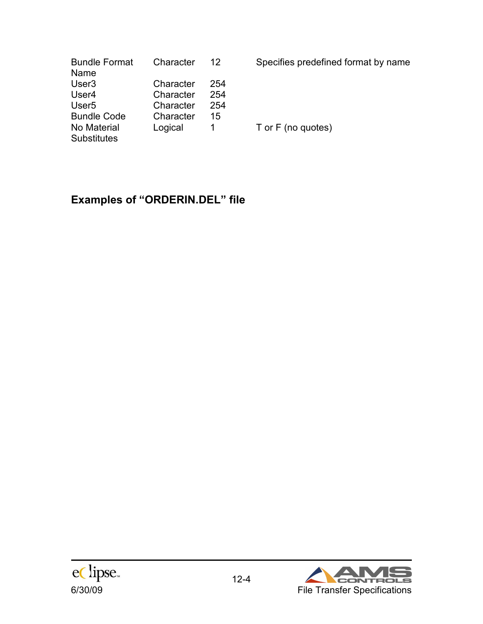| <b>Bundle Format</b> | Character | 12  |
|----------------------|-----------|-----|
| Name                 |           |     |
| User <sub>3</sub>    | Character | 254 |
| User4                | Character | 254 |
| User <sub>5</sub>    | Character | 254 |
| <b>Bundle Code</b>   | Character | 15  |
| No Material          | Logical   | 1   |
| <b>Substitutes</b>   |           |     |

Specifies predefined format by name

T or F (no quotes)

# **Examples of "ORDERIN.DEL" file**



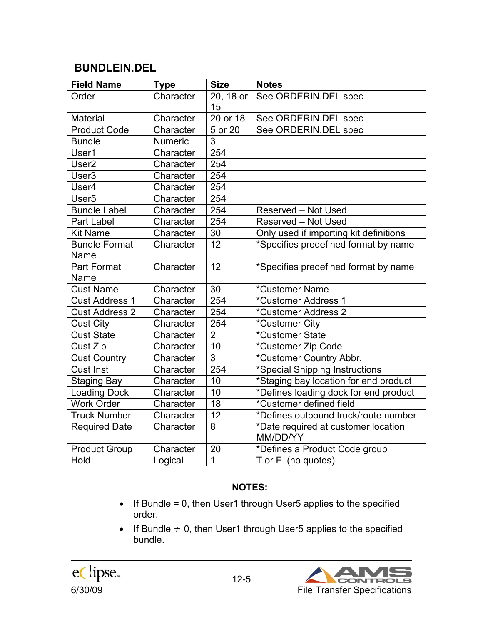### **BUNDLEIN.DEL**

| <b>Field Name</b>     | <b>Type</b>    | <b>Size</b>     | <b>Notes</b>                                    |
|-----------------------|----------------|-----------------|-------------------------------------------------|
| Order                 | Character      | 20, 18 or<br>15 | See ORDERIN.DEL spec                            |
| <b>Material</b>       | Character      | $20$ or $18$    | See ORDERIN.DEL spec                            |
| <b>Product Code</b>   | Character      | 5 or 20         | See ORDERIN.DEL spec                            |
| <b>Bundle</b>         | <b>Numeric</b> | 3               |                                                 |
| User1                 | Character      | 254             |                                                 |
| User <sub>2</sub>     | Character      | 254             |                                                 |
| User <sub>3</sub>     | Character      | 254             |                                                 |
| User4                 | Character      | 254             |                                                 |
| User <sub>5</sub>     | Character      | 254             |                                                 |
| <b>Bundle Label</b>   | Character      | 254             | Reserved - Not Used                             |
| Part Label            | Character      | 254             | Reserved - Not Used                             |
| <b>Kit Name</b>       | Character      | 30              | Only used if importing kit definitions          |
| <b>Bundle Format</b>  | Character      | 12              | *Specifies predefined format by name            |
| Name                  |                |                 |                                                 |
| <b>Part Format</b>    | Character      | 12              | *Specifies predefined format by name            |
| Name                  |                |                 |                                                 |
| <b>Cust Name</b>      | Character      | 30              | *Customer Name                                  |
| <b>Cust Address 1</b> | Character      | 254             | *Customer Address 1                             |
| <b>Cust Address 2</b> | Character      | 254             | *Customer Address 2                             |
| <b>Cust City</b>      | Character      | 254             | *Customer City                                  |
| <b>Cust State</b>     | Character      | $\overline{2}$  | *Customer State                                 |
| Cust Zip              | Character      | $\overline{10}$ | *Customer Zip Code                              |
| <b>Cust Country</b>   | Character      | 3               | *Customer Country Abbr.                         |
| <b>Cust Inst</b>      | Character      | 254             | *Special Shipping Instructions                  |
| <b>Staging Bay</b>    | Character      | 10              | *Staging bay location for end product           |
| Loading Dock          | Character      | 10              | *Defines loading dock for end product           |
| <b>Work Order</b>     | Character      | 18              | *Customer defined field                         |
| <b>Truck Number</b>   | Character      | 12              | *Defines outbound truck/route number            |
| <b>Required Date</b>  | Character      | 8               | *Date required at customer location<br>MM/DD/YY |
| <b>Product Group</b>  | Character      | 20              | *Defines a Product Code group                   |
| Hold                  | Logical        | 1               | T or F (no quotes)                              |

#### **NOTES:**

- If Bundle = 0, then User1 through User5 applies to the specified order.
- If Bundle  $\neq$  0, then User1 through User5 applies to the specified bundle.



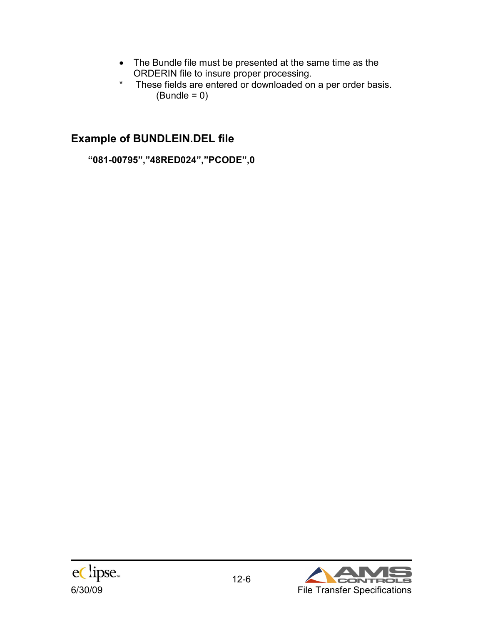- The Bundle file must be presented at the same time as the ORDERIN file to insure proper processing.
- \* These fields are entered or downloaded on a per order basis.  $(Bundle = 0)$

# **Example of BUNDLEIN.DEL file**

**"081-00795","48RED024","PCODE",0** 



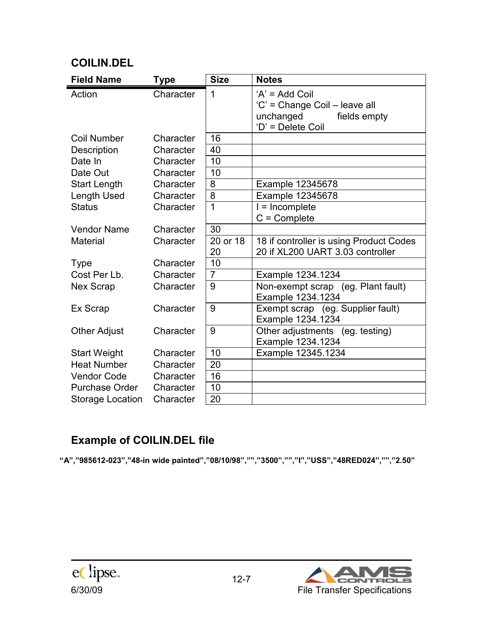# **COILIN.DEL**

| <b>Field Name</b>       | <b>Type</b> | <b>Size</b>    | <b>Notes</b>                                                                                        |
|-------------------------|-------------|----------------|-----------------------------------------------------------------------------------------------------|
| Action                  | Character   | 1              | $'A' = Add$ Coil<br>'C' = Change Coil - leave all<br>unchanged<br>fields empty<br>'D' = Delete Coil |
| Coil Number             | Character   | 16             |                                                                                                     |
| Description             | Character   | 40             |                                                                                                     |
| Date In                 | Character   | 10             |                                                                                                     |
| Date Out                | Character   | 10             |                                                                                                     |
| <b>Start Length</b>     | Character   | 8              | Example 12345678                                                                                    |
| Length Used             | Character   | 8              | Example 12345678                                                                                    |
| <b>Status</b>           | Character   | 1              | $=$ Incomplete                                                                                      |
|                         |             |                | $C =$ Complete                                                                                      |
| <b>Vendor Name</b>      | Character   | 30             |                                                                                                     |
| <b>Material</b>         | Character   | 20 or 18<br>20 | 18 if controller is using Product Codes<br>20 if XL200 UART 3.03 controller                         |
| <b>Type</b>             | Character   | 10             |                                                                                                     |
| Cost Per Lb.            | Character   | $\overline{7}$ | Example 1234.1234                                                                                   |
| <b>Nex Scrap</b>        | Character   | 9              | (eg. Plant fault)<br>Non-exempt scrap<br>Example 1234.1234                                          |
| Ex Scrap                | Character   | 9              | Exempt scrap (eg. Supplier fault)<br>Example 1234.1234                                              |
| <b>Other Adjust</b>     | Character   | 9              | Other adjustments<br>(eg. testing)<br>Example 1234.1234                                             |
| <b>Start Weight</b>     | Character   | 10             | Example 12345.1234                                                                                  |
| <b>Heat Number</b>      | Character   | 20             |                                                                                                     |
| <b>Vendor Code</b>      | Character   | 16             |                                                                                                     |
| <b>Purchase Order</b>   | Character   | 10             |                                                                                                     |
| <b>Storage Location</b> | Character   | 20             |                                                                                                     |

# **Example of COILIN.DEL file**

**"A","985612-023","48-in wide painted","08/10/98","","3500","","I","USS","48RED024","","2.50"** 

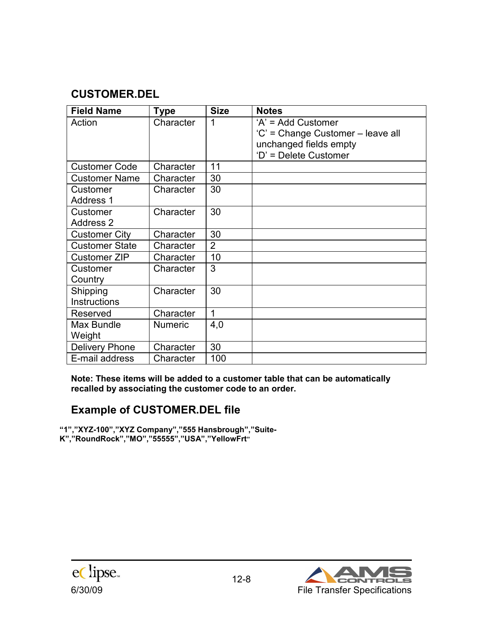# **CUSTOMER.DEL**

| <b>Field Name</b>            | <b>Type</b>    | <b>Size</b>    | <b>Notes</b>                                                                                               |
|------------------------------|----------------|----------------|------------------------------------------------------------------------------------------------------------|
| Action                       | Character      | 1              | 'A' = Add Customer<br>'C' = Change Customer - leave all<br>unchanged fields empty<br>'D' = Delete Customer |
| <b>Customer Code</b>         | Character      | 11             |                                                                                                            |
| <b>Customer Name</b>         | Character      | 30             |                                                                                                            |
| Customer<br><b>Address 1</b> | Character      | 30             |                                                                                                            |
| Customer<br><b>Address 2</b> | Character      | 30             |                                                                                                            |
| <b>Customer City</b>         | Character      | 30             |                                                                                                            |
| <b>Customer State</b>        | Character      | $\overline{2}$ |                                                                                                            |
| <b>Customer ZIP</b>          | Character      | 10             |                                                                                                            |
| Customer<br>Country          | Character      | 3              |                                                                                                            |
| Shipping<br>Instructions     | Character      | 30             |                                                                                                            |
| Reserved                     | Character      | 1              |                                                                                                            |
| Max Bundle<br>Weight         | <b>Numeric</b> | 4,0            |                                                                                                            |
| <b>Delivery Phone</b>        | Character      | 30             |                                                                                                            |
| E-mail address               | Character      | 100            |                                                                                                            |

**Note: These items will be added to a customer table that can be automatically recalled by associating the customer code to an order.** 

# **Example of CUSTOMER.DEL file**

**"1","XYZ-100","XYZ Company","555 Hansbrough","Suite-K","RoundRock","MO","55555","USA","YellowFrt"** 



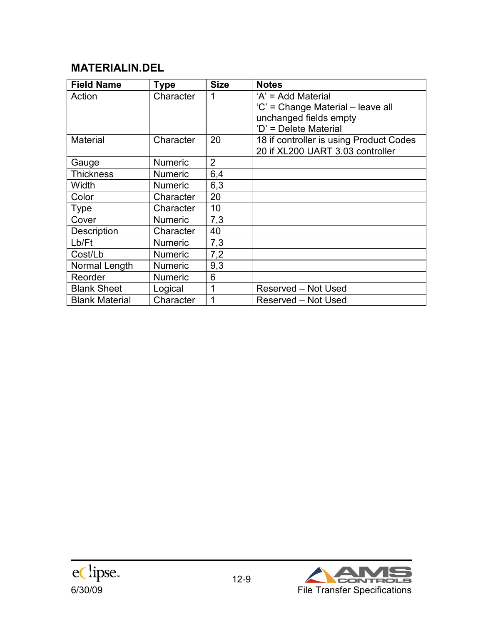# **MATERIALIN.DEL**

| <b>Field Name</b>     | <b>Type</b>    | <b>Size</b>    | <b>Notes</b>                            |
|-----------------------|----------------|----------------|-----------------------------------------|
| Action                | Character      | 1              | 'A' = Add Material                      |
|                       |                |                | 'C' = Change Material – leave all       |
|                       |                |                | unchanged fields empty                  |
|                       |                |                | 'D' = Delete Material                   |
| <b>Material</b>       | Character      | 20             | 18 if controller is using Product Codes |
|                       |                |                | 20 if XL200 UART 3.03 controller        |
| Gauge                 | <b>Numeric</b> | $\overline{2}$ |                                         |
| Thickness             | <b>Numeric</b> | 6,4            |                                         |
| Width                 | <b>Numeric</b> | 6,3            |                                         |
| Color                 | Character      | 20             |                                         |
| Type                  | Character      | 10             |                                         |
| Cover                 | <b>Numeric</b> | 7,3            |                                         |
| <b>Description</b>    | Character      | 40             |                                         |
| Lb/Ft                 | <b>Numeric</b> | 7,3            |                                         |
| Cost/Lb               | <b>Numeric</b> | 7,2            |                                         |
| Normal Length         | <b>Numeric</b> | 9,3            |                                         |
| Reorder               | <b>Numeric</b> | 6              |                                         |
| <b>Blank Sheet</b>    | Logical        | 1              | Reserved - Not Used                     |
| <b>Blank Material</b> | Character      | 1              | Reserved - Not Used                     |



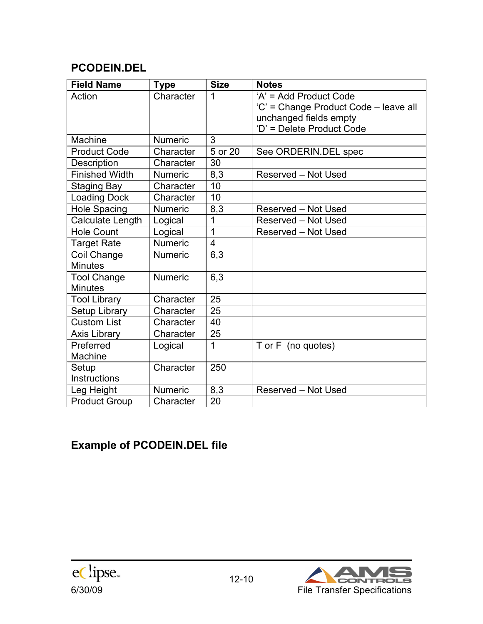# **PCODEIN.DEL**

| <b>Field Name</b>     | <b>Type</b>    | <b>Size</b> | <b>Notes</b>                          |
|-----------------------|----------------|-------------|---------------------------------------|
| Action                | Character      | 1           | 'A' = Add Product Code                |
|                       |                |             | 'C' = Change Product Code - leave all |
|                       |                |             | unchanged fields empty                |
|                       |                |             | 'D' = Delete Product Code             |
| Machine               | <b>Numeric</b> | 3           |                                       |
| <b>Product Code</b>   | Character      | 5 or 20     | See ORDERIN.DEL spec                  |
| <b>Description</b>    | Character      | 30          |                                       |
| <b>Finished Width</b> | <b>Numeric</b> | 8,3         | Reserved - Not Used                   |
| <b>Staging Bay</b>    | Character      | 10          |                                       |
| <b>Loading Dock</b>   | Character      | 10          |                                       |
| <b>Hole Spacing</b>   | Numeric        | 8,3         | Reserved - Not Used                   |
| Calculate Length      | Logical        | 1           | Reserved - Not Used                   |
| <b>Hole Count</b>     | Logical        | 1           | Reserved - Not Used                   |
| <b>Target Rate</b>    | <b>Numeric</b> | 4           |                                       |
| Coil Change           | <b>Numeric</b> | 6,3         |                                       |
| <b>Minutes</b>        |                |             |                                       |
| <b>Tool Change</b>    | <b>Numeric</b> | 6,3         |                                       |
| <b>Minutes</b>        |                |             |                                       |
| <b>Tool Library</b>   | Character      | 25          |                                       |
| Setup Library         | Character      | 25          |                                       |
| <b>Custom List</b>    | Character      | 40          |                                       |
| <b>Axis Library</b>   | Character      | 25          |                                       |
| Preferred             | Logical        | 1           | T or F (no quotes)                    |
| Machine               |                |             |                                       |
| Setup                 | Character      | 250         |                                       |
| Instructions          |                |             |                                       |
| Leg Height            | <b>Numeric</b> | 8,3         | Reserved - Not Used                   |
| <b>Product Group</b>  | Character      | 20          |                                       |

# **Example of PCODEIN.DEL file**

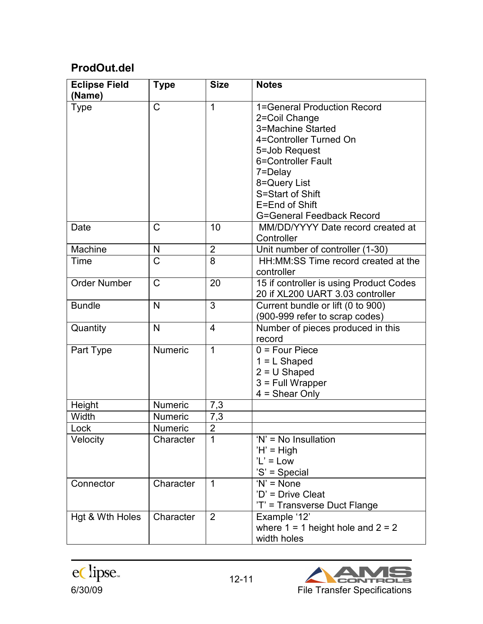# **ProdOut.del**

| <b>Eclipse Field</b><br>(Name) | <b>Type</b>           | <b>Size</b>    | <b>Notes</b>                                                                                                                                                                                                                            |
|--------------------------------|-----------------------|----------------|-----------------------------------------------------------------------------------------------------------------------------------------------------------------------------------------------------------------------------------------|
| <b>Type</b>                    | $\mathsf{C}$          | 1              | 1=General Production Record<br>2=Coil Change<br>3=Machine Started<br>4=Controller Turned On<br>5=Job Request<br>6=Controller Fault<br>7=Delay<br>8=Query List<br>S=Start of Shift<br>E=End of Shift<br><b>G=General Feedback Record</b> |
| Date                           | C                     | 10             | MM/DD/YYYY Date record created at<br>Controller                                                                                                                                                                                         |
| Machine                        | N                     | $\overline{2}$ | Unit number of controller (1-30)                                                                                                                                                                                                        |
| Time                           | $\overline{\text{C}}$ | 8              | HH: MM: SS Time record created at the<br>controller                                                                                                                                                                                     |
| <b>Order Number</b>            | $\mathsf{C}$          | 20             | 15 if controller is using Product Codes<br>20 if XL200 UART 3.03 controller                                                                                                                                                             |
| <b>Bundle</b>                  | $\mathsf{N}$          | 3              | Current bundle or lift (0 to 900)<br>(900-999 refer to scrap codes)                                                                                                                                                                     |
| Quantity                       | N                     | 4              | Number of pieces produced in this<br>record                                                                                                                                                                                             |
| Part Type                      | <b>Numeric</b>        | 1              | $0 = Four Piece$<br>$1 = L$ Shaped<br>$2 = U$ Shaped<br>$3$ = Full Wrapper<br>$4 =$ Shear Only                                                                                                                                          |
| Height                         | Numeric               | 7,3            |                                                                                                                                                                                                                                         |
| Width                          | Numeric               | 7,3            |                                                                                                                                                                                                                                         |
| .ock                           | Numeric               | $\overline{2}$ |                                                                                                                                                                                                                                         |
| Velocity                       | Character             | 1              | 'N' = No Insullation<br>$H' = High$<br>$'L' = Low$<br>'S' = Special                                                                                                                                                                     |
| Connector                      | Character             | $\mathbf{1}$   | $'N' = None$<br>'D' = Drive Cleat<br>'T' = Transverse Duct Flange                                                                                                                                                                       |
| Hgt & Wth Holes                | Character             | $\overline{2}$ | Example '12'<br>where $1 = 1$ height hole and $2 = 2$<br>width holes                                                                                                                                                                    |



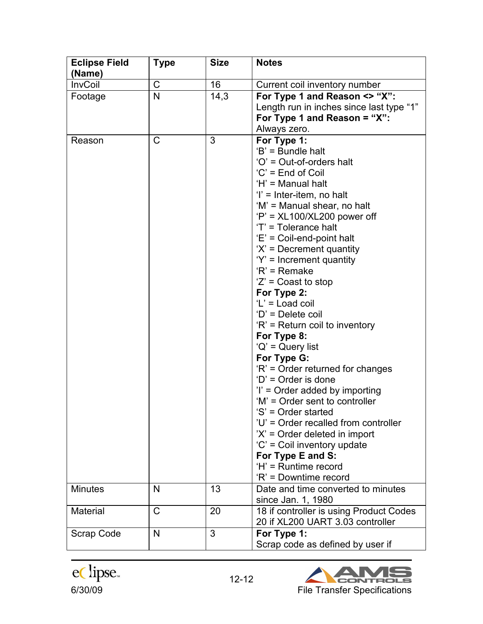| <b>Eclipse Field</b><br>(Name) | <b>Type</b>  | <b>Size</b> | <b>Notes</b>                                                                                                                                                                                                                                                                                                                                                                                                                                                                                                                                                                                                                                                                                                                                                                                                                                                                                           |
|--------------------------------|--------------|-------------|--------------------------------------------------------------------------------------------------------------------------------------------------------------------------------------------------------------------------------------------------------------------------------------------------------------------------------------------------------------------------------------------------------------------------------------------------------------------------------------------------------------------------------------------------------------------------------------------------------------------------------------------------------------------------------------------------------------------------------------------------------------------------------------------------------------------------------------------------------------------------------------------------------|
| <b>InvCoil</b>                 | C            | 16          | Current coil inventory number                                                                                                                                                                                                                                                                                                                                                                                                                                                                                                                                                                                                                                                                                                                                                                                                                                                                          |
| Footage                        | $\mathsf{N}$ | 14,3        | For Type 1 and Reason <> "X":<br>Length run in inches since last type "1"<br>For Type 1 and Reason = "X":<br>Always zero.                                                                                                                                                                                                                                                                                                                                                                                                                                                                                                                                                                                                                                                                                                                                                                              |
| Reason                         | $\mathsf{C}$ | 3           | For Type 1:<br>'B' = Bundle halt<br>'O' = Out-of-orders halt<br>$'C' = End of Col$<br>'H' = Manual halt<br>$\mathsf{I}' = \mathsf{Inter}\text{-}\mathsf{item}, \mathsf{no}\ \mathsf{halt}$<br>'M' = Manual shear, no halt<br>'P' = $XL100/XL200$ power off<br>'T' = Tolerance halt<br>'E' = Coil-end-point halt<br>$X' =$ Decrement quantity<br>'Y' = Increment quantity<br>$R'$ = Remake<br>$'Z'$ = Coast to stop<br>For Type 2:<br>'L' = Load coil<br>'D' = Delete coil<br>'R' = Return coil to inventory<br>For Type 8:<br>$'Q'$ = Query list<br>For Type G:<br>'R' = Order returned for changes<br>$D'$ = Order is done<br>'l' = Order added by importing<br>'M' = Order sent to controller<br>'S' = Order started<br>'U' = Order recalled from controller<br>$'X'$ = Order deleted in import<br>'C' = Coil inventory update<br>For Type E and S:<br>'H' = Runtime record<br>'R' = Downtime record |
| <b>Minutes</b>                 | N            | 13          | Date and time converted to minutes<br>since Jan. 1, 1980                                                                                                                                                                                                                                                                                                                                                                                                                                                                                                                                                                                                                                                                                                                                                                                                                                               |
| Material                       | $\mathsf C$  | 20          | 18 if controller is using Product Codes<br>20 if XL200 UART 3.03 controller                                                                                                                                                                                                                                                                                                                                                                                                                                                                                                                                                                                                                                                                                                                                                                                                                            |
| Scrap Code                     | N            | 3           | For Type 1:<br>Scrap code as defined by user if                                                                                                                                                                                                                                                                                                                                                                                                                                                                                                                                                                                                                                                                                                                                                                                                                                                        |



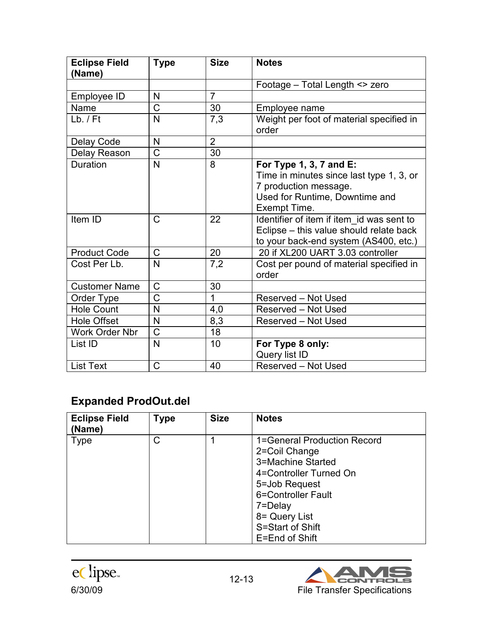| <b>Eclipse Field</b><br>(Name) | <b>Type</b>             | <b>Size</b>    | <b>Notes</b>                                                                                                                                   |
|--------------------------------|-------------------------|----------------|------------------------------------------------------------------------------------------------------------------------------------------------|
|                                |                         |                | Footage - Total Length <> zero                                                                                                                 |
| Employee ID                    | N                       | $\overline{7}$ |                                                                                                                                                |
| Name                           | $\mathsf C$             | 30             | Employee name                                                                                                                                  |
| $Lb.$ / $Ft$                   | $\mathsf{N}$            | 7,3            | Weight per foot of material specified in<br>order                                                                                              |
| Delay Code                     | N                       | $\overline{2}$ |                                                                                                                                                |
| Delay Reason                   | $\overline{\text{C}}$   | 30             |                                                                                                                                                |
| Duration                       | $\mathsf{N}$            | 8              | For Type 1, 3, 7 and E:<br>Time in minutes since last type 1, 3, or<br>7 production message.<br>Used for Runtime, Downtime and<br>Exempt Time. |
| Item ID                        | $\mathsf{C}$            | 22             | Identifier of item if item id was sent to<br>Eclipse - this value should relate back<br>to your back-end system (AS400, etc.)                  |
| <b>Product Code</b>            | C                       | 20             | 20 if XL200 UART 3.03 controller                                                                                                               |
| Cost Per Lb.                   | $\overline{\mathsf{N}}$ | 7,2            | Cost per pound of material specified in<br>order                                                                                               |
| <b>Customer Name</b>           | $\mathsf C$             | 30             |                                                                                                                                                |
| Order Type                     | $\overline{\text{C}}$   | 1              | Reserved - Not Used                                                                                                                            |
| <b>Hole Count</b>              | $\mathsf{N}$            | 4,0            | Reserved - Not Used                                                                                                                            |
| <b>Hole Offset</b>             | N                       | 8,3            | Reserved - Not Used                                                                                                                            |
| Work Order Nbr                 | $\mathsf{C}$            | 18             |                                                                                                                                                |
| List ID                        | $\mathsf{N}$            | 10             | For Type 8 only:<br>Query list ID                                                                                                              |
| <b>List Text</b>               | $\mathsf{C}$            | 40             | <b>Reserved - Not Used</b>                                                                                                                     |

# **Expanded ProdOut.del**

| <b>Eclipse Field</b><br>(Name) | <b>Type</b> | <b>Size</b> | <b>Notes</b>                                                                                                                                                                                         |
|--------------------------------|-------------|-------------|------------------------------------------------------------------------------------------------------------------------------------------------------------------------------------------------------|
| <b>Type</b>                    | C           |             | 1=General Production Record<br>2=Coil Change<br>3=Machine Started<br>4=Controller Turned On<br>5=Job Request<br>6=Controller Fault<br>7=Delay<br>8= Query List<br>S=Start of Shift<br>E=End of Shift |



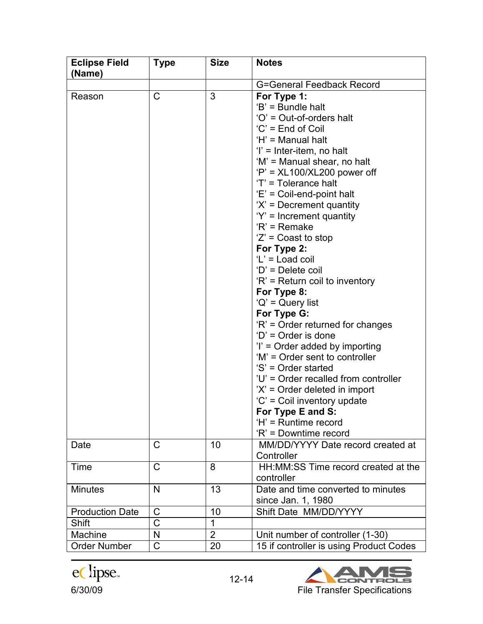| <b>Eclipse Field</b><br>(Name) | <b>Type</b>           | <b>Size</b>    | <b>Notes</b>                                                                                                                                                                                                                                                                                                                                                                                                                                                                                                                                                                                                                                                                                                                                                                                                               |
|--------------------------------|-----------------------|----------------|----------------------------------------------------------------------------------------------------------------------------------------------------------------------------------------------------------------------------------------------------------------------------------------------------------------------------------------------------------------------------------------------------------------------------------------------------------------------------------------------------------------------------------------------------------------------------------------------------------------------------------------------------------------------------------------------------------------------------------------------------------------------------------------------------------------------------|
|                                |                       |                | <b>G=General Feedback Record</b>                                                                                                                                                                                                                                                                                                                                                                                                                                                                                                                                                                                                                                                                                                                                                                                           |
| Reason                         | C                     | 3              | For Type 1:<br>'B' = Bundle halt<br>'O' = Out-of-orders halt<br>'C' = End of Coil<br>'H' = Manual halt<br>$T =$ Inter-item, no halt<br>'M' = Manual shear, no halt<br>$'P'$ = XL100/XL200 power off<br>'T' = Tolerance halt<br>'E' = Coil-end-point halt<br>$X' =$ Decrement quantity<br>$Y' =$ Increment quantity<br>$R'$ = Remake<br>$Z' =$ Coast to stop<br>For Type 2:<br>$'L' =$ Load coil<br>'D' = Delete coil<br>$R'$ = Return coil to inventory<br>For Type 8:<br>$'Q'$ = Query list<br>For Type G:<br>'R' = Order returned for changes<br>$D'$ = Order is done<br>$i'$ = Order added by importing<br>'M' = Order sent to controller<br>'S' = Order started<br>'U' = Order recalled from controller<br>$'X'$ = Order deleted in import<br>'C' = Coil inventory update<br>For Type E and S:<br>'H' = Runtime record |
| Date                           | $\mathsf{C}$          | 10             | 'R' = Downtime record<br>MM/DD/YYYY Date record created at<br>Controller                                                                                                                                                                                                                                                                                                                                                                                                                                                                                                                                                                                                                                                                                                                                                   |
| Time                           | $\mathsf{C}$          | 8              | HH: MM: SS Time record created at the<br>controller                                                                                                                                                                                                                                                                                                                                                                                                                                                                                                                                                                                                                                                                                                                                                                        |
| <b>Minutes</b>                 | N                     | 13             | Date and time converted to minutes<br>since Jan. 1, 1980                                                                                                                                                                                                                                                                                                                                                                                                                                                                                                                                                                                                                                                                                                                                                                   |
| <b>Production Date</b>         | C                     | 10             | Shift Date MM/DD/YYYY                                                                                                                                                                                                                                                                                                                                                                                                                                                                                                                                                                                                                                                                                                                                                                                                      |
| Shift                          | $\overline{\text{C}}$ | 1              |                                                                                                                                                                                                                                                                                                                                                                                                                                                                                                                                                                                                                                                                                                                                                                                                                            |
| Machine                        | N                     | $\overline{2}$ | Unit number of controller (1-30)                                                                                                                                                                                                                                                                                                                                                                                                                                                                                                                                                                                                                                                                                                                                                                                           |
| <b>Order Number</b>            | $\mathsf C$           | 20             | 15 if controller is using Product Codes                                                                                                                                                                                                                                                                                                                                                                                                                                                                                                                                                                                                                                                                                                                                                                                    |

ec lipse.

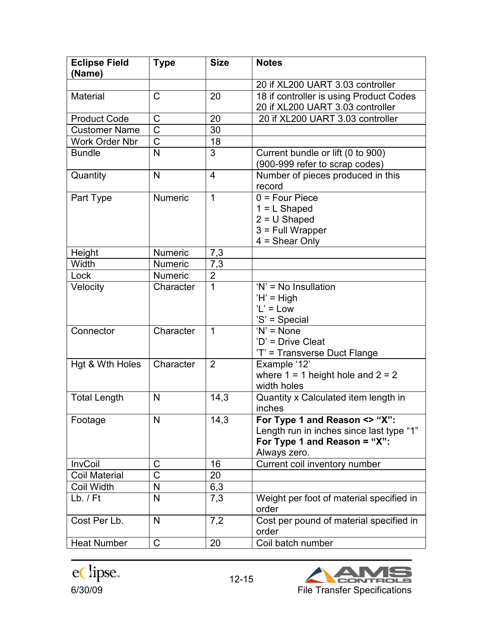| <b>Eclipse Field</b><br>(Name) | <b>Type</b>           | <b>Size</b>    | <b>Notes</b>                                                                                                              |
|--------------------------------|-----------------------|----------------|---------------------------------------------------------------------------------------------------------------------------|
|                                |                       |                | 20 if XL200 UART 3.03 controller                                                                                          |
| Material                       | $\mathsf C$           | 20             | 18 if controller is using Product Codes<br>20 if XL200 UART 3.03 controller                                               |
| <b>Product Code</b>            | $\mathsf C$           | 20             | 20 if XL200 UART 3.03 controller                                                                                          |
| <b>Customer Name</b>           | $\overline{\text{C}}$ | 30             |                                                                                                                           |
| <b>Work Order Nbr</b>          | $\overline{\text{C}}$ | 18             |                                                                                                                           |
| <b>Bundle</b>                  | $\overline{N}$        | 3              | Current bundle or lift (0 to 900)<br>(900-999 refer to scrap codes)                                                       |
| Quantity                       | N                     | $\overline{4}$ | Number of pieces produced in this<br>record                                                                               |
| Part Type                      | <b>Numeric</b>        | 1              | $0 = Four Piece$<br>$1 = L$ Shaped<br>$2 = U$ Shaped<br>$3$ = Full Wrapper<br>$4 = Shear Only$                            |
| <b>Height</b>                  | <b>Numeric</b>        | 7,3            |                                                                                                                           |
| Width                          | <b>Numeric</b>        | 7,3            |                                                                                                                           |
| Lock                           | <b>Numeric</b>        | $\overline{2}$ |                                                                                                                           |
| Velocity                       | Character             | 1              | 'N' = No Insullation<br>$H' = High$<br>$'L' = Low$<br>'S' = Special                                                       |
| Connector                      | Character             | 1              | $'N'$ = None<br>'D' = Drive Cleat<br>'T' = Transverse Duct Flange                                                         |
| Hgt & Wth Holes                | Character             | $\overline{2}$ | Example '12'<br>where $1 = 1$ height hole and $2 = 2$<br>width holes                                                      |
| <b>Total Length</b>            | N                     | 14,3           | Quantity x Calculated item length in<br>inches                                                                            |
| Footage                        | N                     | 14,3           | For Type 1 and Reason <> "X":<br>Length run in inches since last type "1"<br>For Type 1 and Reason = "X":<br>Always zero. |
| <b>InvCoil</b>                 | C                     | 16             | Current coil inventory number                                                                                             |
| <b>Coil Material</b>           | $\overline{\text{C}}$ | 20             |                                                                                                                           |
| <b>Coil Width</b>              | N                     | 6,3            |                                                                                                                           |
| $Lb.$ / $Ft$                   | N                     | 7,3            | Weight per foot of material specified in<br>order                                                                         |
| Cost Per Lb.                   | N                     | 7,2            | Cost per pound of material specified in<br>order                                                                          |
| <b>Heat Number</b>             | $\mathsf{C}$          | 20             | Coil batch number                                                                                                         |

eClipse. 12-15

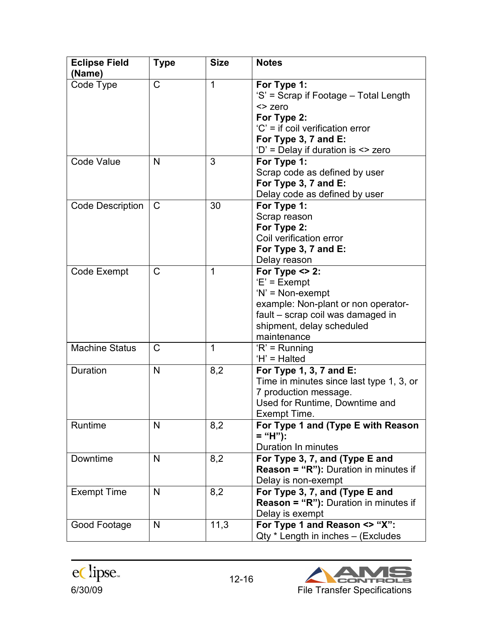| <b>Eclipse Field</b><br>(Name) | <b>Type</b>  | <b>Size</b> | <b>Notes</b>                                                                                                                                                                      |
|--------------------------------|--------------|-------------|-----------------------------------------------------------------------------------------------------------------------------------------------------------------------------------|
| Code Type                      | C            | 1           | For Type 1:<br>'S' = Scrap if Footage - Total Length<br><> zero<br>For Type 2:<br>$C' =$ if coil verification error<br>For Type 3, 7 and E:<br>'D' = Delay if duration is <> zero |
| <b>Code Value</b>              | N            | 3           | For Type 1:<br>Scrap code as defined by user<br>For Type 3, 7 and E:<br>Delay code as defined by user                                                                             |
| <b>Code Description</b>        | $\mathsf{C}$ | 30          | For Type 1:<br>Scrap reason<br>For Type 2:<br>Coil verification error<br>For Type 3, 7 and E:<br>Delay reason                                                                     |
| Code Exempt                    | $\mathsf{C}$ | 1           | For Type $\leq$ 2:<br>$E' = Exempt$<br>$'N' = Non-exempt$<br>example: Non-plant or non operator-<br>fault - scrap coil was damaged in<br>shipment, delay scheduled<br>maintenance |
| Machine Status                 | $\mathsf{C}$ | 1           | $R' =$ Running<br>'H' = Halted                                                                                                                                                    |
| <b>Duration</b>                | N            | 8,2         | For Type 1, 3, 7 and E:<br>Time in minutes since last type 1, 3, or<br>7 production message.<br>Used for Runtime, Downtime and<br>Exempt Time.                                    |
| Runtime                        | N            | 8,2         | For Type 1 and (Type E with Reason<br>$=$ "H"):<br>Duration In minutes                                                                                                            |
| Downtime                       | N            | 8,2         | For Type 3, 7, and (Type E and<br><b>Reason = "R"):</b> Duration in minutes if<br>Delay is non-exempt                                                                             |
| <b>Exempt Time</b>             | N            | 8,2         | For Type 3, 7, and (Type E and<br><b>Reason = "R"):</b> Duration in minutes if<br>Delay is exempt                                                                                 |
| Good Footage                   | N            | 11,3        | For Type 1 and Reason <> "X":<br>Qty * Length in inches - (Excludes                                                                                                               |

eClipse. 12-16

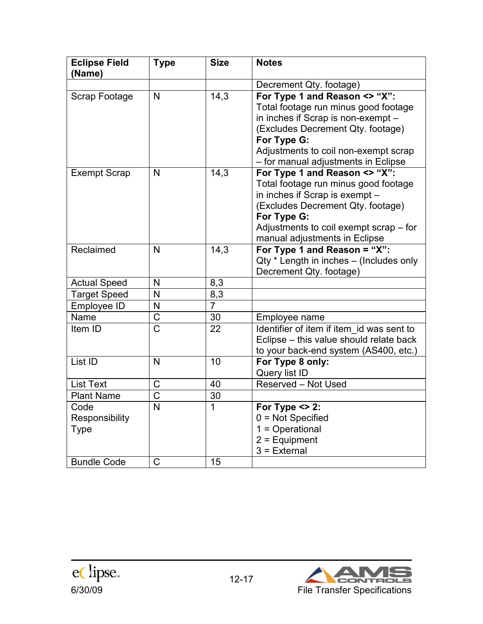| <b>Eclipse Field</b><br>(Name)        | <b>Type</b>             | <b>Size</b>    | <b>Notes</b>                                                                                                                                                                                                                                   |
|---------------------------------------|-------------------------|----------------|------------------------------------------------------------------------------------------------------------------------------------------------------------------------------------------------------------------------------------------------|
|                                       |                         |                | Decrement Qty. footage)                                                                                                                                                                                                                        |
| Scrap Footage                         | N                       | 14,3           | For Type 1 and Reason <> "X":<br>Total footage run minus good footage<br>in inches if Scrap is non-exempt -<br>(Excludes Decrement Qty. footage)<br>For Type G:<br>Adjustments to coil non-exempt scrap<br>- for manual adjustments in Eclipse |
| <b>Exempt Scrap</b>                   | N                       | 14,3           | For Type 1 and Reason <> "X":<br>Total footage run minus good footage<br>in inches if Scrap is exempt -<br>(Excludes Decrement Qty. footage)<br>For Type G:<br>Adjustments to coil exempt scrap – for<br>manual adjustments in Eclipse         |
| Reclaimed                             | $\overline{\mathsf{N}}$ | 14,3           | For Type 1 and Reason = "X":<br>Qty * Length in inches - (Includes only<br>Decrement Qty. footage)                                                                                                                                             |
| <b>Actual Speed</b>                   | N                       | 8,3            |                                                                                                                                                                                                                                                |
| <b>Target Speed</b>                   | N                       | 8,3            |                                                                                                                                                                                                                                                |
| Employee ID                           | N                       | $\overline{7}$ |                                                                                                                                                                                                                                                |
| Name                                  | $\overline{\text{C}}$   | 30             | Employee name                                                                                                                                                                                                                                  |
| Item ID                               | $\overline{C}$          | 22             | Identifier of item if item id was sent to<br>Eclipse - this value should relate back<br>to your back-end system (AS400, etc.)                                                                                                                  |
| List ID                               | N                       | 10             | For Type 8 only:<br>Query list ID                                                                                                                                                                                                              |
| <b>List Text</b>                      | C                       | 40             | Reserved - Not Used                                                                                                                                                                                                                            |
| <b>Plant Name</b>                     | $\mathsf C$             | 30             |                                                                                                                                                                                                                                                |
| Code<br>Responsibility<br><b>Type</b> | $\overline{N}$          | 1              | For Type $\leq$ 2:<br>$0 = Not$ Specified<br>$1 =$ Operational<br>$2$ = Equipment<br>$3$ = External                                                                                                                                            |
| <b>Bundle Code</b>                    | $\mathsf C$             | 15             |                                                                                                                                                                                                                                                |

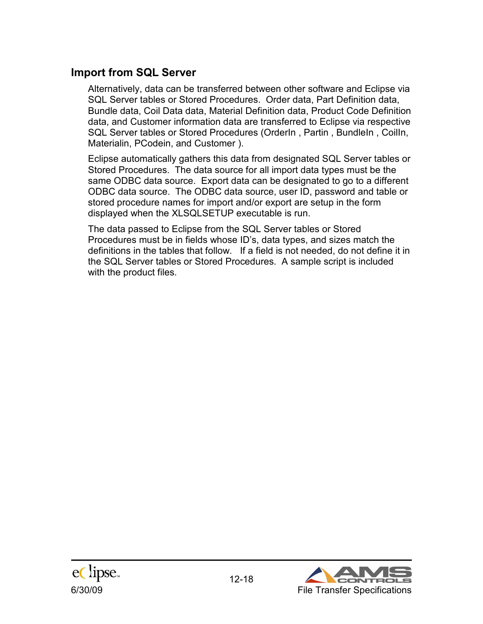#### **Import from SQL Server**

Alternatively, data can be transferred between other software and Eclipse via SQL Server tables or Stored Procedures. Order data, Part Definition data, Bundle data, Coil Data data, Material Definition data, Product Code Definition data, and Customer information data are transferred to Eclipse via respective SQL Server tables or Stored Procedures (OrderIn, Partin, BundleIn, CoilIn, Materialin, PCodein, and Customer ).

Eclipse automatically gathers this data from designated SQL Server tables or Stored Procedures. The data source for all import data types must be the same ODBC data source. Export data can be designated to go to a different ODBC data source. The ODBC data source, user ID, password and table or stored procedure names for import and/or export are setup in the form displayed when the XLSQLSETUP executable is run.

The data passed to Eclipse from the SQL Server tables or Stored Procedures must be in fields whose ID's, data types, and sizes match the definitions in the tables that follow. If a field is not needed, do not define it in the SQL Server tables or Stored Procedures. A sample script is included with the product files.



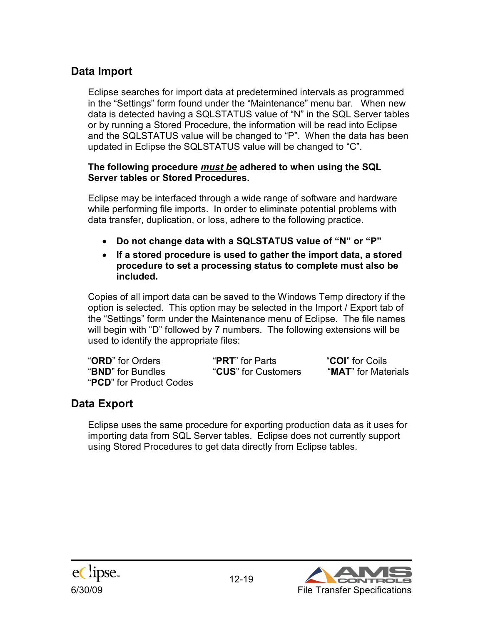### **Data Import**

Eclipse searches for import data at predetermined intervals as programmed in the "Settings" form found under the "Maintenance" menu bar. When new data is detected having a SQLSTATUS value of "N" in the SQL Server tables or by running a Stored Procedure, the information will be read into Eclipse and the SQLSTATUS value will be changed to "P". When the data has been updated in Eclipse the SQLSTATUS value will be changed to "C".

#### **The following procedure** *must be* **adhered to when using the SQL Server tables or Stored Procedures.**

Eclipse may be interfaced through a wide range of software and hardware while performing file imports. In order to eliminate potential problems with data transfer, duplication, or loss, adhere to the following practice.

- **Do not change data with a SQLSTATUS value of "N" or "P"**
- **If a stored procedure is used to gather the import data, a stored procedure to set a processing status to complete must also be included.**

Copies of all import data can be saved to the Windows Temp directory if the option is selected. This option may be selected in the Import / Export tab of the "Settings" form under the Maintenance menu of Eclipse. The file names will begin with "D" followed by 7 numbers. The following extensions will be used to identify the appropriate files:

"**ORD**" for Orders "**PRT**" for Parts "**COI**" for Coils "**BND**" for Bundles "**CUS**" for Customers "**MAT**" for Materials "**PCD**" for Product Codes

## **Data Export**

Eclipse uses the same procedure for exporting production data as it uses for importing data from SQL Server tables. Eclipse does not currently support using Stored Procedures to get data directly from Eclipse tables.



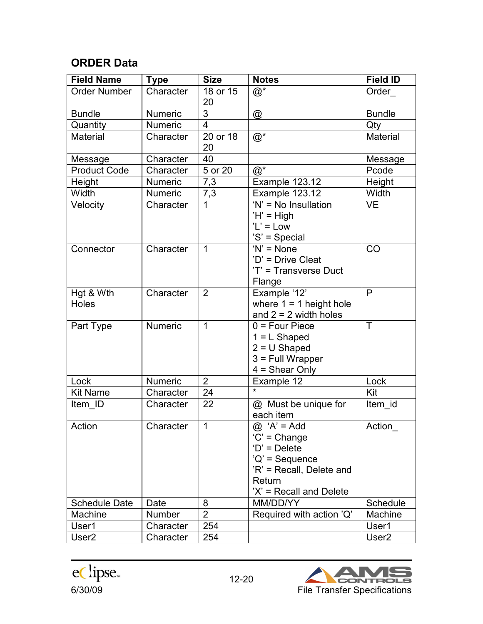### **ORDER Data**

| <b>Field Name</b>         | <b>Type</b>    | <b>Size</b>             | <b>Notes</b>                                                                                                                           | <b>Field ID</b>   |
|---------------------------|----------------|-------------------------|----------------------------------------------------------------------------------------------------------------------------------------|-------------------|
| <b>Order Number</b>       | Character      | 18 or 15<br>20          | $@^*$                                                                                                                                  | Order             |
| <b>Bundle</b>             | Numeric        | $\overline{3}$          | $^{\circledR}$                                                                                                                         | <b>Bundle</b>     |
| Quantity                  | <b>Numeric</b> | $\overline{\mathbf{4}}$ |                                                                                                                                        | Qty               |
| <b>Material</b>           | Character      | 20 or 18<br>20          | $@^*$                                                                                                                                  | Material          |
| Message                   | Character      | 40                      |                                                                                                                                        | Message           |
| <b>Product Code</b>       | Character      | 5 or 20                 | $@^*$                                                                                                                                  | Pcode             |
| Height                    | <b>Numeric</b> | 7,3                     | Example 123.12                                                                                                                         | Height            |
| Width                     | Numeric        | 7,3                     | Example 123.12                                                                                                                         | Width             |
| Velocity                  | Character      | $\overline{1}$          | $'N' = No$ Insullation<br>$'H' = High$<br>$'L' = Low$<br>'S' = Special                                                                 | <b>VE</b>         |
| Connector                 | Character      | $\mathbf{1}$            | $'N' = None$<br>'D' = Drive Cleat<br>'T' = Transverse Duct<br>Flange                                                                   | CO                |
| Hgt & Wth<br><b>Holes</b> | Character      | $\overline{2}$          | Example '12'<br>where $1 = 1$ height hole<br>and $2 = 2$ width holes                                                                   | P                 |
| Part Type                 | <b>Numeric</b> | $\mathbf{1}$            | $0 = Four Piece$<br>$1 = L$ Shaped<br>$2 = U$ Shaped<br>$3$ = Full Wrapper<br>$4 = Shear Only$                                         | $\top$            |
| Lock                      | Numeric        | $2^{\circ}$             | Example 12                                                                                                                             | Lock              |
| <b>Kit Name</b>           | Character      | 24                      |                                                                                                                                        | Kit               |
| Item ID                   | Character      | 22                      | @ Must be unique for<br>each item                                                                                                      | Item id           |
| Action                    | Character      | $\mathbf{1}$            | $@ 'A' = Add$<br>$'C' = Change$<br>$'D' = Delete$<br>$'Q'$ = Sequence<br>'R' = Recall, Delete and<br>Return<br>'X' = Recall and Delete | Action_           |
| <b>Schedule Date</b>      | Date           | 8                       | MM/DD/YY                                                                                                                               | Schedule          |
| Machine                   | <b>Number</b>  | $\overline{2}$          | Required with action 'Q'                                                                                                               | Machine           |
| User1                     | Character      | 254                     |                                                                                                                                        | User1             |
| User <sub>2</sub>         | Character      | 254                     |                                                                                                                                        | User <sub>2</sub> |

eclipse.

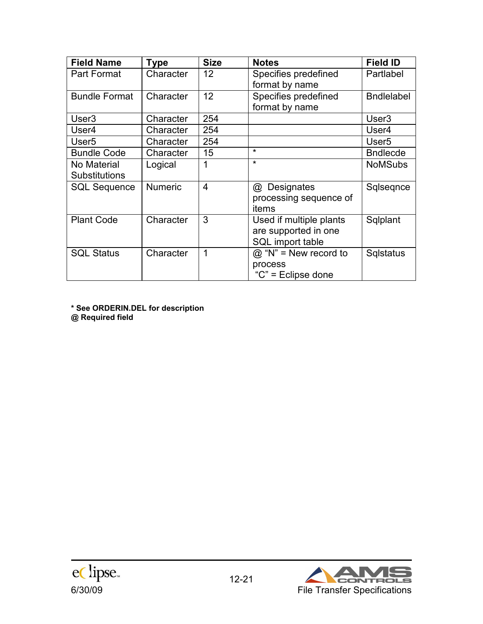| <b>Field Name</b>    | Type           | <b>Size</b>    | <b>Notes</b>            | <b>Field ID</b>   |
|----------------------|----------------|----------------|-------------------------|-------------------|
| Part Format          | Character      | 12             | Specifies predefined    | Partlabel         |
|                      |                |                | format by name          |                   |
| <b>Bundle Format</b> | Character      | 12             | Specifies predefined    | <b>Bndlelabel</b> |
|                      |                |                | format by name          |                   |
| User <sub>3</sub>    | Character      | 254            |                         | User <sub>3</sub> |
| User4                | Character      | 254            |                         | User4             |
| User <sub>5</sub>    | Character      | 254            |                         | User <sub>5</sub> |
| <b>Bundle Code</b>   | Character      | 15             | $\star$                 | <b>Bndlecde</b>   |
| No Material          | Logical        | 1              | $\star$                 | <b>NoMSubs</b>    |
| <b>Substitutions</b> |                |                |                         |                   |
| <b>SQL Sequence</b>  | <b>Numeric</b> | $\overline{4}$ | Designates<br>@         | Sqlseqnce         |
|                      |                |                | processing sequence of  |                   |
|                      |                |                | items                   |                   |
| <b>Plant Code</b>    | Character      | 3              | Used if multiple plants | Sqlplant          |
|                      |                |                | are supported in one    |                   |
|                      |                |                | SQL import table        |                   |
| <b>SQL Status</b>    | Character      | 1              | $@$ "N" = New record to | <b>Sqlstatus</b>  |
|                      |                |                | process                 |                   |
|                      |                |                | "C" = Eclipse done      |                   |

**\* See ORDERIN.DEL for description @ Required field**



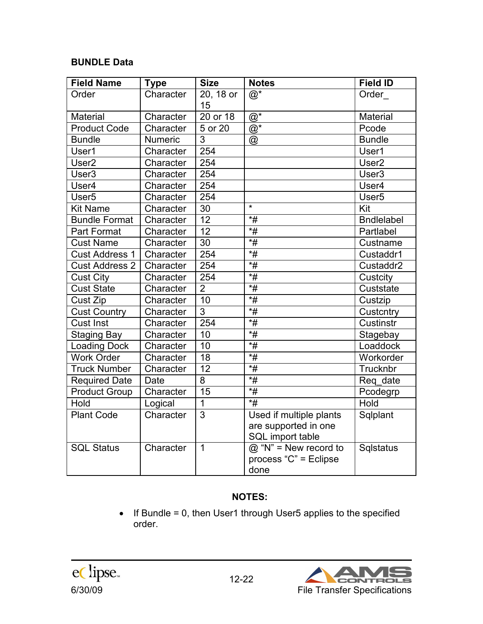#### **BUNDLE Data**

| <b>Field Name</b>     | <b>Type</b> | <b>Size</b>     | <b>Notes</b>                                                             | <b>Field ID</b>   |
|-----------------------|-------------|-----------------|--------------------------------------------------------------------------|-------------------|
| Order                 | Character   | 20, 18 or<br>15 | $@^*$                                                                    | Order             |
| <b>Material</b>       | Character   | 20 or 18        | $@^*$                                                                    | <b>Material</b>   |
| <b>Product Code</b>   | Character   | 5 or 20         | $\overline{\mathbb{Q}}^*$                                                | Pcode             |
| <b>Bundle</b>         | Numeric     | $\overline{3}$  | @                                                                        | <b>Bundle</b>     |
| User1                 | Character   | 254             |                                                                          | User1             |
| User <sub>2</sub>     | Character   | 254             |                                                                          | User <sub>2</sub> |
| User <sub>3</sub>     | Character   | 254             |                                                                          | User <sub>3</sub> |
| User4                 | Character   | 254             |                                                                          | User4             |
| User <sub>5</sub>     | Character   | 254             |                                                                          | User <sub>5</sub> |
| <b>Kit Name</b>       | Character   | 30              | $\star$                                                                  | Kit               |
| <b>Bundle Format</b>  | Character   | 12              | $*$ #                                                                    | <b>Bndlelabel</b> |
| <b>Part Format</b>    | Character   | 12              | $\overline{*}$                                                           | Partlabel         |
| <b>Cust Name</b>      | Character   | 30              | $*$ #                                                                    | Custname          |
| <b>Cust Address 1</b> | Character   | 254             | $\overline{*}$ #                                                         | Custaddr1         |
| <b>Cust Address 2</b> | Character   | 254             | $*$ #                                                                    | Custaddr2         |
| <b>Cust City</b>      | Character   | 254             | $\overline{\overline{H}}$                                                | Custcity          |
| <b>Cust State</b>     | Character   | $\overline{2}$  | $*$ #                                                                    | Custstate         |
| Cust Zip              | Character   | 10              | $*$ #                                                                    | Custzip           |
| <b>Cust Country</b>   | Character   | 3               | $\overline{\overline{t}}$                                                | Custcntry         |
| <b>Cust Inst</b>      | Character   | 254             | $\overline{*}$ #                                                         | Custinstr         |
| <b>Staging Bay</b>    | Character   | 10              | $\overline{*}$                                                           | Stagebay          |
| <b>Loading Dock</b>   | Character   | 10              | $\overline{\overline{H}}$                                                | Loaddock          |
| <b>Work Order</b>     | Character   | 18              | $*$ #                                                                    | Workorder         |
| <b>Truck Number</b>   | Character   | 12              | $\overline{*}$                                                           | Trucknbr          |
| <b>Required Date</b>  | Date        | 8               | $\overline{*}$ #                                                         | Req date          |
| <b>Product Group</b>  | Character   | 15              | $*$ #                                                                    | Pcodegrp          |
| Hold                  | Logical     | $\mathbf{1}$    | $*$ #                                                                    | Hold              |
| <b>Plant Code</b>     | Character   | $\overline{3}$  | Used if multiple plants<br>are supported in one<br>SQL import table      | Sqlplant          |
| <b>SQL Status</b>     | Character   | $\mathbf{1}$    | $\overline{\omega}$ "N" = New record to<br>process "C" = Eclipse<br>done | Sqlstatus         |

#### **NOTES:**

• If Bundle = 0, then User1 through User5 applies to the specified order.



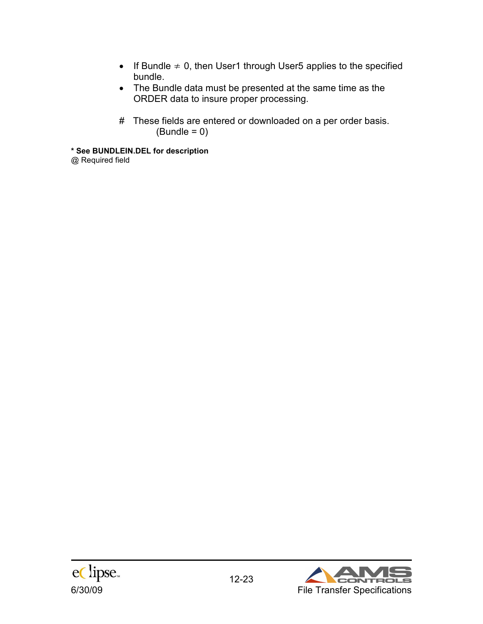- If Bundle  $\neq$  0, then User1 through User5 applies to the specified bundle.
- The Bundle data must be presented at the same time as the ORDER data to insure proper processing.
- # These fields are entered or downloaded on a per order basis.  $(Bundle = 0)$

**\* See BUNDLEIN.DEL for description**  @ Required field



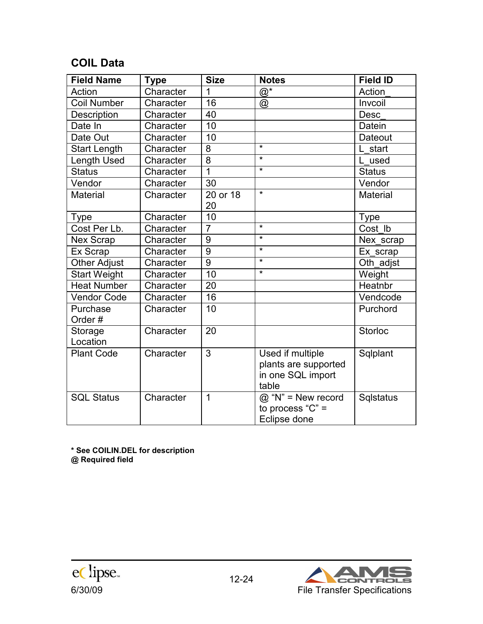### **COIL Data**

| <b>Field Name</b>   | <b>Type</b> | <b>Size</b>    | <b>Notes</b>                                                           | <b>Field ID</b> |
|---------------------|-------------|----------------|------------------------------------------------------------------------|-----------------|
| Action              | Character   | 1              | $@^*$                                                                  | Action          |
| <b>Coil Number</b>  | Character   | 16             | @                                                                      | Invcoil         |
| Description         | Character   | 40             |                                                                        | <b>Desc</b>     |
| Date In             | Character   | 10             |                                                                        | Datein          |
| Date Out            | Character   | 10             |                                                                        | Dateout         |
| <b>Start Length</b> | Character   | 8              | $\star$                                                                | L start         |
| Length Used         | Character   | 8              | $\star$                                                                | used            |
| <b>Status</b>       | Character   | 1              | $\star$                                                                | <b>Status</b>   |
| Vendor              | Character   | 30             |                                                                        | Vendor          |
| <b>Material</b>     | Character   | 20 or 18<br>20 | $\star$                                                                | <b>Material</b> |
| Type                | Character   | 10             |                                                                        | <b>Type</b>     |
| Cost Per Lb.        | Character   | $\overline{7}$ | $\star$                                                                | Cost Ib         |
| <b>Nex Scrap</b>    | Character   | 9              | $\star$                                                                | Nex scrap       |
| Ex Scrap            | Character   | 9              | $\star$                                                                | Ex scrap        |
| <b>Other Adjust</b> | Character   | 9              | $\star$                                                                | Oth adjst       |
| <b>Start Weight</b> | Character   | 10             | $\star$                                                                | Weight          |
| <b>Heat Number</b>  | Character   | 20             |                                                                        | Heatnbr         |
| <b>Vendor Code</b>  | Character   | 16             |                                                                        | Vendcode        |
| Purchase<br>Order#  | Character   | 10             |                                                                        | Purchord        |
| Storage<br>Location | Character   | 20             |                                                                        | <b>Storloc</b>  |
| <b>Plant Code</b>   | Character   | 3              | Used if multiple<br>plants are supported<br>in one SQL import<br>table | Sqlplant        |
| <b>SQL Status</b>   | Character   | 1              | @ "N" = New record<br>to process " $C$ " =<br>Eclipse done             | Sqlstatus       |

**\* See COILIN.DEL for description @ Required field** 



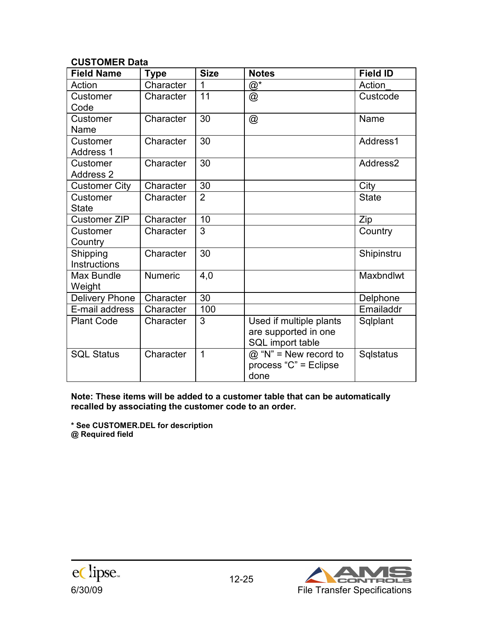#### **CUSTOMER Data**

| <b>Field Name</b>     | <b>Type</b>    | <b>Size</b>    | <b>Notes</b>            | <b>Field ID</b>  |
|-----------------------|----------------|----------------|-------------------------|------------------|
| Action                | Character      | 1              | $@^*$                   | Action           |
| Customer              | Character      | 11             | @                       | Custcode         |
| Code                  |                |                |                         |                  |
| Customer              | Character      | 30             | $^{\circledR}$          | Name             |
| Name                  |                |                |                         |                  |
| Customer              | Character      | 30             |                         | Address1         |
| <b>Address 1</b>      |                |                |                         |                  |
| Customer              | Character      | 30             |                         | Address2         |
| <b>Address 2</b>      |                |                |                         |                  |
| <b>Customer City</b>  | Character      | 30             |                         | City             |
| Customer              | Character      | $\overline{2}$ |                         | <b>State</b>     |
| <b>State</b>          |                |                |                         |                  |
| <b>Customer ZIP</b>   | Character      | 10             |                         | Zip              |
| Customer              | Character      | 3              |                         | Country          |
| Country               |                |                |                         |                  |
| Shipping              | Character      | 30             |                         | Shipinstru       |
| <b>Instructions</b>   |                |                |                         |                  |
| <b>Max Bundle</b>     | <b>Numeric</b> | 4,0            |                         | <b>Maxbndlwt</b> |
| Weight                |                |                |                         |                  |
| <b>Delivery Phone</b> | Character      | 30             |                         | Delphone         |
| E-mail address        | Character      | 100            |                         | Emailaddr        |
| <b>Plant Code</b>     | Character      | 3              | Used if multiple plants | Sqlplant         |
|                       |                |                | are supported in one    |                  |
|                       |                |                | SQL import table        |                  |
| <b>SQL Status</b>     | Character      | $\mathbf 1$    | $@$ "N" = New record to | Sqlstatus        |
|                       |                |                | process "C" = Eclipse   |                  |
|                       |                |                | done                    |                  |

**Note: These items will be added to a customer table that can be automatically recalled by associating the customer code to an order.** 

**\* See CUSTOMER.DEL for description @ Required field**



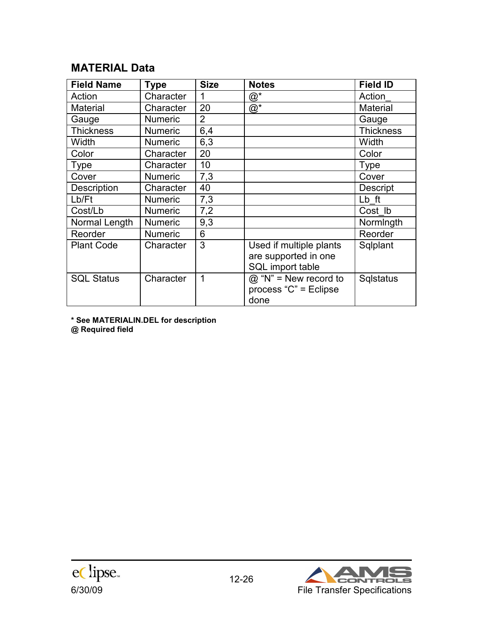### **MATERIAL Data**

| <b>Field Name</b> | <b>Type</b>    | <b>Size</b>    | <b>Notes</b>                                                        | <b>Field ID</b>  |
|-------------------|----------------|----------------|---------------------------------------------------------------------|------------------|
| Action            | Character      | 1              | $@^*$                                                               | Action           |
| <b>Material</b>   | Character      | 20             | $@^*$                                                               | <b>Material</b>  |
| Gauge             | <b>Numeric</b> | $\overline{2}$ |                                                                     | Gauge            |
| <b>Thickness</b>  | <b>Numeric</b> | 6,4            |                                                                     | <b>Thickness</b> |
| Width             | <b>Numeric</b> | 6,3            |                                                                     | Width            |
| Color             | Character      | 20             |                                                                     | Color            |
| Type              | Character      | 10             |                                                                     | <b>Type</b>      |
| Cover             | <b>Numeric</b> | 7,3            |                                                                     | Cover            |
| Description       | Character      | 40             |                                                                     | <b>Descript</b>  |
| Lb/Ft             | <b>Numeric</b> | 7,3            |                                                                     | Lb ft            |
| Cost/Lb           | <b>Numeric</b> | 7,2            |                                                                     | Cost Ib          |
| Normal Length     | <b>Numeric</b> | 9,3            |                                                                     | Normingth        |
| Reorder           | <b>Numeric</b> | 6              |                                                                     | Reorder          |
| <b>Plant Code</b> | Character      | 3              | Used if multiple plants<br>are supported in one<br>SQL import table | Sqlplant         |
| <b>SQL Status</b> | Character      | 1              | $@$ "N" = New record to<br>process "C" = Eclipse<br>done            | <b>Sqlstatus</b> |

**\* See MATERIALIN.DEL for description @ Required field** 



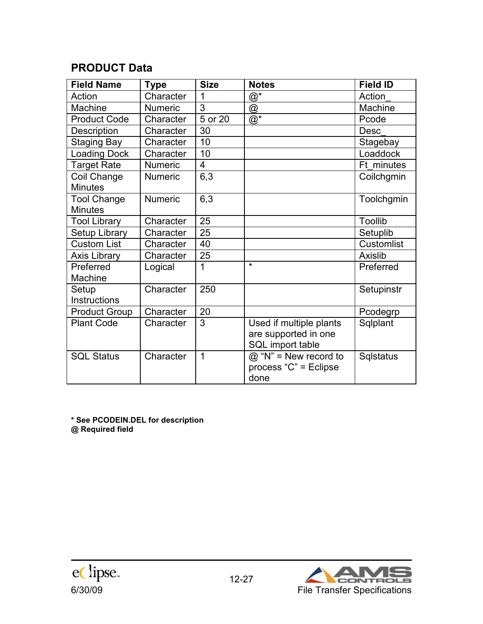# **PRODUCT Data**

| <b>Field Name</b>    | <b>Type</b>    | <b>Size</b> | <b>Notes</b>                            | <b>Field ID</b>   |
|----------------------|----------------|-------------|-----------------------------------------|-------------------|
| Action               | Character      | 1           | $@^{\star}$                             | Action            |
| Machine              | <b>Numeric</b> | 3           | @                                       | Machine           |
| <b>Product Code</b>  | Character      | 5 or 20     | $@^*$                                   | Pcode             |
| Description          | Character      | 30          |                                         | <b>Desc</b>       |
| <b>Staging Bay</b>   | Character      | 10          |                                         | Stagebay          |
| <b>Loading Dock</b>  | Character      | 10          |                                         | Loaddock          |
| <b>Target Rate</b>   | <b>Numeric</b> | 4           |                                         | Ft minutes        |
| Coil Change          | <b>Numeric</b> | 6,3         |                                         | Coilchgmin        |
| <b>Minutes</b>       |                |             |                                         |                   |
| <b>Tool Change</b>   | <b>Numeric</b> | 6,3         |                                         | Toolchgmin        |
| <b>Minutes</b>       |                |             |                                         |                   |
| <b>Tool Library</b>  | Character      | 25          |                                         | <b>Toollib</b>    |
| Setup Library        | Character      | 25          |                                         | Setuplib          |
| <b>Custom List</b>   | Character      | 40          |                                         | <b>Customlist</b> |
| <b>Axis Library</b>  | Character      | 25          |                                         | <b>Axislib</b>    |
| Preferred            | Logical        | 1           | $\star$                                 | Preferred         |
| Machine              |                |             |                                         |                   |
| Setup                | Character      | 250         |                                         | Setupinstr        |
| Instructions         |                |             |                                         |                   |
| <b>Product Group</b> | Character      | 20          |                                         | Pcodegrp          |
| <b>Plant Code</b>    | Character      | 3           | Used if multiple plants                 | Sqlplant          |
|                      |                |             | are supported in one                    |                   |
|                      |                |             | SQL import table                        |                   |
| <b>SQL Status</b>    | Character      | 1           | $\overline{\omega}$ "N" = New record to | <b>Sqlstatus</b>  |
|                      |                |             | process " $C$ " = Eclipse               |                   |
|                      |                |             | done                                    |                   |

**\* See PCODEIN.DEL for description @ Required field** 



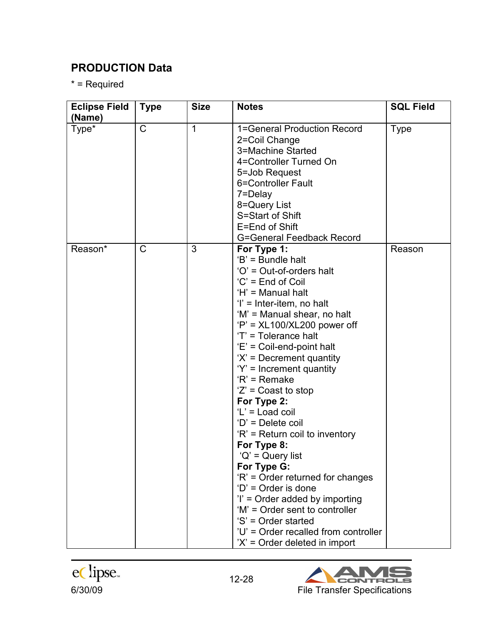# **PRODUCTION Data**

\* = Required

| <b>Eclipse Field</b> | <b>Type</b>  | <b>Size</b> | <b>Notes</b>                                                                                                                                                                                                                                                                                                                                                                                                                                                                                                                                                                                                                                                                                                                                  | <b>SQL Field</b> |
|----------------------|--------------|-------------|-----------------------------------------------------------------------------------------------------------------------------------------------------------------------------------------------------------------------------------------------------------------------------------------------------------------------------------------------------------------------------------------------------------------------------------------------------------------------------------------------------------------------------------------------------------------------------------------------------------------------------------------------------------------------------------------------------------------------------------------------|------------------|
| (Name)<br>Type*      | $\mathsf C$  | $\mathbf 1$ | 1=General Production Record<br>2=Coil Change<br>3=Machine Started<br>4=Controller Turned On<br>5=Job Request<br>6=Controller Fault<br>7=Delay<br>8=Query List<br>S=Start of Shift<br>E=End of Shift<br><b>G=General Feedback Record</b>                                                                                                                                                                                                                                                                                                                                                                                                                                                                                                       | <b>Type</b>      |
| Reason*              | $\mathsf{C}$ | 3           | For Type 1:<br>$B' = B$ undle halt<br>'O' = Out-of-orders halt<br>'C' = End of Coil<br>'H' = Manual halt<br>$i'$ = Inter-item, no halt<br>'M' = Manual shear, no halt<br>$P' = XL100/XL200 power off$<br>'T' = Tolerance halt<br>'E' = Coil-end-point halt<br>$X' =$ Decrement quantity<br>$Y' =$ Increment quantity<br>$R'$ = Remake<br>$'Z'$ = Coast to stop<br>For Type 2:<br>'L' = Load coil<br>'D' = Delete coil<br>'R' = Return coil to inventory<br>For Type 8:<br>$'Q'$ = Query list<br>For Type G:<br>'R' = Order returned for changes<br>$D'$ = Order is done<br>$i'$ = Order added by importing<br>'M' = Order sent to controller<br>'S' = Order started<br>'U' = Order recalled from controller<br>$X' =$ Order deleted in import | Reason           |



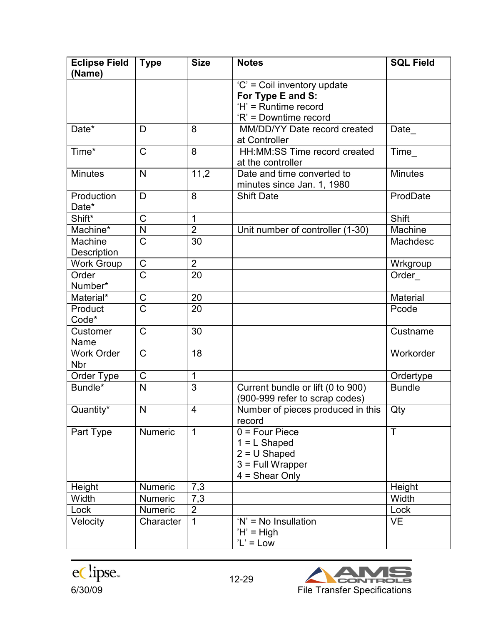| <b>Eclipse Field</b><br>(Name)  | <b>Type</b>             | <b>Size</b>    | <b>Notes</b>                                                                                      | <b>SQL Field</b> |
|---------------------------------|-------------------------|----------------|---------------------------------------------------------------------------------------------------|------------------|
|                                 |                         |                | 'C' = Coil inventory update<br>For Type E and S:<br>'H' = Runtime record<br>'R' = Downtime record |                  |
| Date*                           | D                       | 8              | MM/DD/YY Date record created<br>at Controller                                                     | Date             |
| Time*                           | $\mathsf C$             | 8              | HH:MM:SS Time record created<br>at the controller                                                 | Time             |
| <b>Minutes</b>                  | N                       | 11,2           | Date and time converted to<br>minutes since Jan. 1, 1980                                          | <b>Minutes</b>   |
| Production<br>Date*             | D                       | 8              | <b>Shift Date</b>                                                                                 | ProdDate         |
| Shift*                          | C                       | 1              |                                                                                                   | Shift            |
| Machine*                        | N                       | $\overline{2}$ | Unit number of controller (1-30)                                                                  | Machine          |
| Machine<br>Description          | C                       | 30             |                                                                                                   | Machdesc         |
| <b>Work Group</b>               | $\mathsf C$             | $\overline{2}$ |                                                                                                   | Wrkgroup         |
| Order<br>Number*                | $\overline{\text{C}}$   | 20             |                                                                                                   | Order            |
| Material*                       | C                       | 20             |                                                                                                   | <b>Material</b>  |
| Product<br>Code*                | Ć                       | 20             |                                                                                                   | Pcode            |
| Customer<br>Name                | $\mathsf C$             | 30             |                                                                                                   | Custname         |
| <b>Work Order</b><br><b>Nbr</b> | $\mathsf{C}$            | 18             |                                                                                                   | Workorder        |
| Order Type                      | $\mathsf C$             | 1              |                                                                                                   | Ordertype        |
| Bundle*                         | $\overline{\mathsf{N}}$ | $\overline{3}$ | Current bundle or lift (0 to 900)<br>(900-999 refer to scrap codes)                               | <b>Bundle</b>    |
| Quantity*                       | N                       | 4              | Number of pieces produced in this<br>record                                                       | Qty              |
| Part Type                       | <b>Numeric</b>          | $\mathbf{1}$   | $0 = Four Piece$<br>$1 = L$ Shaped<br>$2 = U$ Shaped<br>$3$ = Full Wrapper<br>$4 = Shear Only$    | $\mathsf{T}$     |
| Height                          | <b>Numeric</b>          | 7,3            |                                                                                                   | Height           |
| Width                           | <b>Numeric</b>          | 7,3            |                                                                                                   | Width            |
| Lock                            | Numeric                 | $\overline{2}$ |                                                                                                   | Lock             |
| Velocity                        | Character               | 1              | $'N' = No$ Insullation<br>$H' = High$<br>$'L' = Low$                                              | <b>VE</b>        |



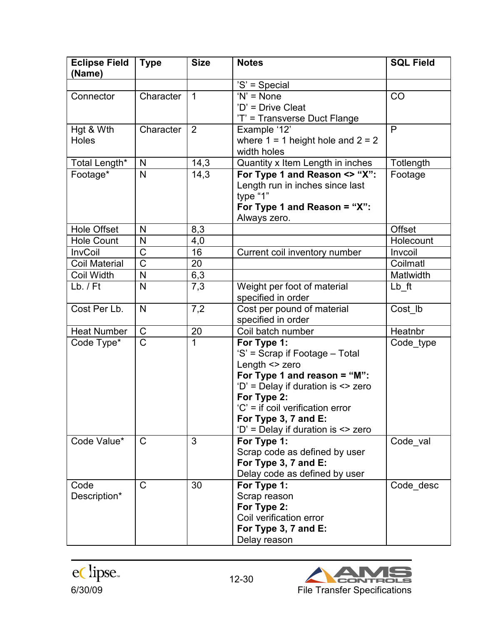| <b>Eclipse Field</b><br>(Name) | <b>Type</b>           | <b>Size</b>  | <b>Notes</b>                          | <b>SQL Field</b> |
|--------------------------------|-----------------------|--------------|---------------------------------------|------------------|
|                                |                       |              | 'S' = Special                         |                  |
| Connector                      | Character             | $\mathbf{1}$ | $'N' = None$                          | CO               |
|                                |                       |              | 'D' = Drive Cleat                     |                  |
|                                |                       |              | 'T' = Transverse Duct Flange          |                  |
| Hgt & Wth                      | Character             | 2            | Example '12'                          | $\mathsf{P}$     |
| Holes                          |                       |              | where $1 = 1$ height hole and $2 = 2$ |                  |
|                                |                       |              | width holes                           |                  |
| Total Length*                  | N                     | 14,3         | Quantity x Item Length in inches      | Totlength        |
| Footage*                       | N                     | 14,3         | For Type 1 and Reason <> "X":         | Footage          |
|                                |                       |              | Length run in inches since last       |                  |
|                                |                       |              | type "1"                              |                  |
|                                |                       |              | For Type 1 and Reason = "X":          |                  |
|                                |                       |              | Always zero.                          |                  |
| <b>Hole Offset</b>             | N                     | 8,3          |                                       | Offset           |
| <b>Hole Count</b>              | N                     | 4,0          |                                       | Holecount        |
| <b>InvCoil</b>                 | C                     | 16           | Current coil inventory number         | Invcoil          |
| <b>Coil Material</b>           | $\overline{\text{C}}$ | 20           |                                       | Coilmatl         |
| <b>Coil Width</b>              | N                     | 6,3          |                                       | Matlwidth        |
| $Lb.$ / $Ft$                   | N                     | 7,3          | Weight per foot of material           | Lb ft            |
|                                |                       |              | specified in order                    |                  |
| Cost Per Lb.                   | $\mathsf{N}$          | 7,2          | Cost per pound of material            | Cost lb          |
|                                |                       |              | specified in order                    |                  |
| <b>Heat Number</b>             | C                     | 20           | Coil batch number                     | Heatnbr          |
| Code Type*                     | $\overline{\text{C}}$ | 1            | For Type 1:                           | Code type        |
|                                |                       |              | 'S' = Scrap if Footage - Total        |                  |
|                                |                       |              | Length <> zero                        |                  |
|                                |                       |              | For Type 1 and reason = " $M$ ":      |                  |
|                                |                       |              | 'D' = Delay if duration is <> zero    |                  |
|                                |                       |              | For Type 2:                           |                  |
|                                |                       |              | 'C' = if coil verification error      |                  |
|                                |                       |              | For Type 3, 7 and E:                  |                  |
|                                |                       |              | 'D' = Delay if duration is <> zero    |                  |
| Code Value*                    | C                     | 3            | For Type 1:                           | Code val         |
|                                |                       |              | Scrap code as defined by user         |                  |
|                                |                       |              | For Type 3, 7 and E:                  |                  |
|                                |                       |              | Delay code as defined by user         |                  |
| Code                           | $\mathsf{C}$          | 30           | For Type 1:                           | Code desc        |
| Description*                   |                       |              | Scrap reason                          |                  |
|                                |                       |              | For Type 2:                           |                  |
|                                |                       |              | Coil verification error               |                  |
|                                |                       |              | For Type 3, 7 and E:                  |                  |
|                                |                       |              | Delay reason                          |                  |



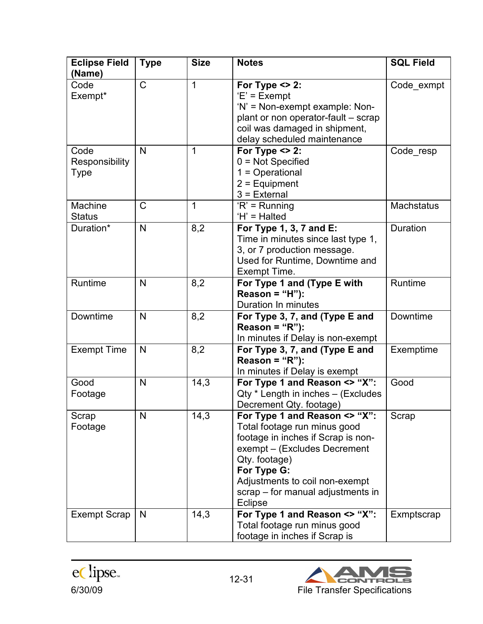| <b>Eclipse Field</b><br>(Name) | <b>Type</b>  | <b>Size</b> | <b>Notes</b>                                                                                                                                                                                                                                                 | <b>SQL Field</b>  |
|--------------------------------|--------------|-------------|--------------------------------------------------------------------------------------------------------------------------------------------------------------------------------------------------------------------------------------------------------------|-------------------|
| Code<br>Exempt*                | C            | 1           | For Type $\leq$ 2:<br>$E' = Exempt$<br>'N' = Non-exempt example: Non-<br>plant or non operator-fault - scrap<br>coil was damaged in shipment,<br>delay scheduled maintenance                                                                                 | Code_exmpt        |
| Code<br>Responsibility<br>Type | N            | 1           | For Type $\leq$ 2:<br>$0 = Not$ Specified<br>$1 =$ Operational<br>$2 =$ Equipment<br>$3$ = External                                                                                                                                                          | Code resp         |
| Machine<br><b>Status</b>       | $\mathsf{C}$ | 1           | $R'$ = Running<br>'H' = Halted                                                                                                                                                                                                                               | <b>Machstatus</b> |
| Duration*                      | N            | 8,2         | For Type 1, 3, 7 and E:<br>Time in minutes since last type 1,<br>3, or 7 production message.<br>Used for Runtime, Downtime and<br>Exempt Time.                                                                                                               | Duration          |
| Runtime                        | N            | 8,2         | For Type 1 and (Type E with<br>Reason = "H"):<br>Duration In minutes                                                                                                                                                                                         | Runtime           |
| Downtime                       | N            | 8,2         | For Type 3, 7, and (Type E and<br>Reason = " $R$ "):<br>In minutes if Delay is non-exempt                                                                                                                                                                    | Downtime          |
| <b>Exempt Time</b>             | N            | 8,2         | For Type 3, 7, and (Type E and<br>Reason = " $R$ "):<br>In minutes if Delay is exempt                                                                                                                                                                        | Exemptime         |
| Good<br>Footage                | N            | 14,3        | For Type 1 and Reason <> "X":<br>Qty * Length in inches - (Excludes<br>Decrement Qty. footage)                                                                                                                                                               | Good              |
| Scrap<br>Footage               | N            | 14,3        | For Type 1 and Reason <> "X":<br>Total footage run minus good<br>footage in inches if Scrap is non-<br>exempt – (Excludes Decrement<br>Qty. footage)<br>For Type G:<br>Adjustments to coil non-exempt<br>scrap – for manual adjustments in<br><b>Eclipse</b> | Scrap             |
| <b>Exempt Scrap</b>            | N            | 14,3        | For Type 1 and Reason <> "X":<br>Total footage run minus good<br>footage in inches if Scrap is                                                                                                                                                               | Exmptscrap        |



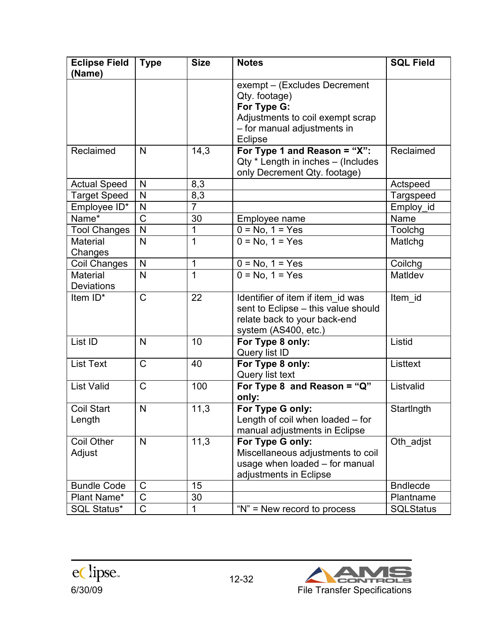| <b>Eclipse Field</b><br>(Name)       | <b>Type</b>           | <b>Size</b> | <b>Notes</b>                                                                                                                               | <b>SQL Field</b> |
|--------------------------------------|-----------------------|-------------|--------------------------------------------------------------------------------------------------------------------------------------------|------------------|
|                                      |                       |             | exempt - (Excludes Decrement<br>Qty. footage)<br>For Type G:<br>Adjustments to coil exempt scrap<br>- for manual adjustments in<br>Eclipse |                  |
| Reclaimed                            | N                     | 14,3        | For Type 1 and Reason = "X":<br>Qty * Length in inches - (Includes<br>only Decrement Qty. footage)                                         | Reclaimed        |
| <b>Actual Speed</b>                  | N                     | 8,3         |                                                                                                                                            | Actspeed         |
| <b>Target Speed</b>                  | N                     | 8,3         |                                                                                                                                            | Targspeed        |
| Employee ID*                         | N                     | 7           |                                                                                                                                            | Employ id        |
| Name*                                | Ć                     | 30          | Employee name                                                                                                                              | Name             |
| <b>Tool Changes</b>                  | N                     | 1           | $0 = No, 1 = Yes$                                                                                                                          | Toolchg          |
| <b>Material</b><br>Changes           | N                     | 1           | $0 = No, 1 = Yes$                                                                                                                          | Matichg          |
| Coil Changes                         | N                     | 1           | $0 = No, 1 = Yes$                                                                                                                          | Coilchg          |
| <b>Material</b><br><b>Deviations</b> | N                     | 1           | $0 = No, 1 = Yes$                                                                                                                          | MatIdev          |
| Item ID*                             | $\mathsf{C}$          | 22          | Identifier of item if item id was<br>sent to Eclipse - this value should<br>relate back to your back-end<br>system (AS400, etc.)           | Item id          |
| List ID                              | N                     | 10          | For Type 8 only:<br>Query list ID                                                                                                          | Listid           |
| <b>List Text</b>                     | $\mathsf{C}$          | 40          | For Type 8 only:<br>Query list text                                                                                                        | Listtext         |
| <b>List Valid</b>                    | $\mathsf{C}$          | 100         | For Type 8 and Reason = " $Q$ "<br>only:                                                                                                   | Listvalid        |
| <b>Coil Start</b><br>Length          | N                     | 11,3        | For Type G only:<br>Length of coil when loaded – for<br>manual adjustments in Eclipse                                                      | StartIngth       |
| Coil Other<br>Adjust                 | N                     | 11,3        | For Type G only:<br>Miscellaneous adjustments to coil<br>usage when loaded - for manual<br>adjustments in Eclipse                          | Oth_adjst        |
| <b>Bundle Code</b>                   | C                     | 15          |                                                                                                                                            | <b>Bndlecde</b>  |
| Plant Name*                          | $\overline{\text{C}}$ | 30          |                                                                                                                                            | Plantname        |
| <b>SQL Status*</b>                   | $\mathsf C$           |             | "N" = New record to process                                                                                                                | <b>SQLStatus</b> |